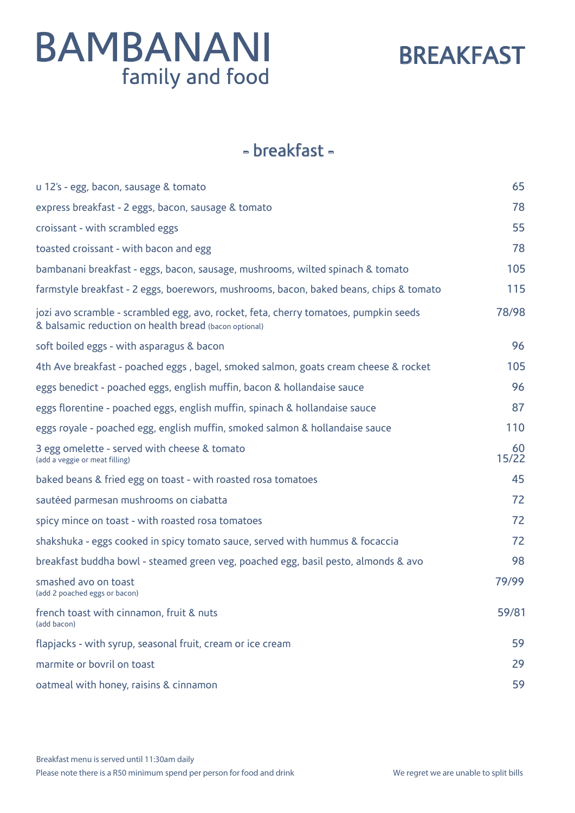### BREAKFAST

#### - breakfast -

| u 12's - egg, bacon, sausage & tomato                                                                                                         | 65          |
|-----------------------------------------------------------------------------------------------------------------------------------------------|-------------|
| express breakfast - 2 eggs, bacon, sausage & tomato                                                                                           | 78          |
| croissant - with scrambled eggs                                                                                                               | 55          |
| toasted croissant - with bacon and egg                                                                                                        | 78          |
| bambanani breakfast - eggs, bacon, sausage, mushrooms, wilted spinach & tomato                                                                | 105         |
| farmstyle breakfast - 2 eggs, boerewors, mushrooms, bacon, baked beans, chips & tomato                                                        | 115         |
| jozi avo scramble - scrambled egg, avo, rocket, feta, cherry tomatoes, pumpkin seeds<br>& balsamic reduction on health bread (bacon optional) | 78/98       |
| soft boiled eggs - with asparagus & bacon                                                                                                     | 96          |
| 4th Ave breakfast - poached eggs, bagel, smoked salmon, goats cream cheese & rocket                                                           | 105         |
| eggs benedict - poached eggs, english muffin, bacon & hollandaise sauce                                                                       | 96          |
| eggs florentine - poached eggs, english muffin, spinach & hollandaise sauce                                                                   | 87          |
| eggs royale - poached egg, english muffin, smoked salmon & hollandaise sauce                                                                  | 110         |
| 3 egg omelette - served with cheese & tomato<br>(add a veggie or meat filling)                                                                | 60<br>15/22 |
| baked beans & fried egg on toast - with roasted rosa tomatoes                                                                                 | 45          |
| sautéed parmesan mushrooms on ciabatta                                                                                                        | 72          |
| spicy mince on toast - with roasted rosa tomatoes                                                                                             | 72          |
| shakshuka - eggs cooked in spicy tomato sauce, served with hummus & focaccia                                                                  | 72          |
| breakfast buddha bowl - steamed green veg, poached egg, basil pesto, almonds & avo                                                            | 98          |
| smashed avo on toast<br>(add 2 poached eggs or bacon)                                                                                         | 79/99       |
| french toast with cinnamon, fruit & nuts<br>(add bacon)                                                                                       | 59/81       |
| flapjacks - with syrup, seasonal fruit, cream or ice cream                                                                                    | 59          |
| marmite or bovril on toast                                                                                                                    | 29          |
| oatmeal with honey, raisins & cinnamon                                                                                                        | 59          |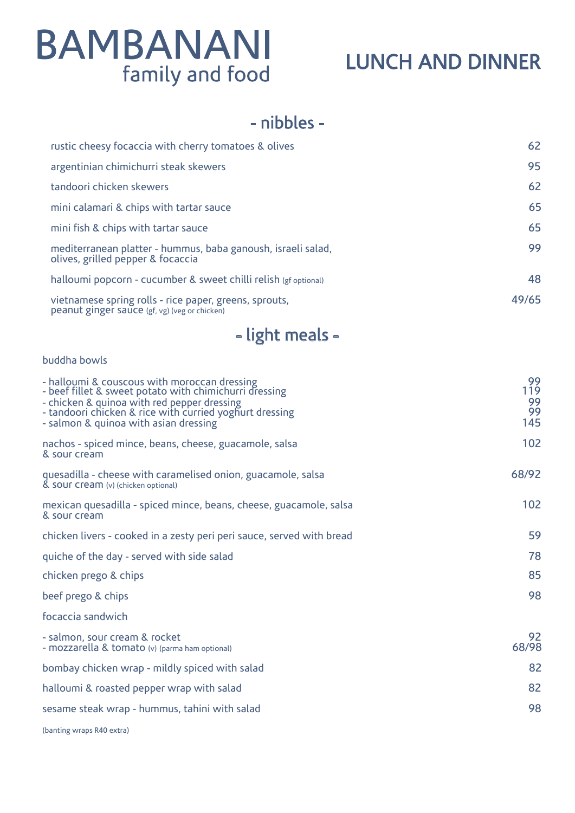### LUNCH AND DINNER

#### - nibbles -

| rustic cheesy focaccia with cherry tomatoes & olives                                                    | 62    |
|---------------------------------------------------------------------------------------------------------|-------|
| argentinian chimichurri steak skewers                                                                   | 95    |
| tandoori chicken skewers                                                                                | 62    |
| mini calamari & chips with tartar sauce                                                                 | 65    |
| mini fish & chips with tartar sauce                                                                     | 65    |
| mediterranean platter - hummus, baba ganoush, israeli salad,<br>olives, grilled pepper & focaccia       | 99    |
| halloumi popcorn - cucumber & sweet chilli relish (gf optional)                                         | 48    |
| vietnamese spring rolls - rice paper, greens, sprouts,<br>peanut ginger sauce (gf, vg) (veg or chicken) | 49/65 |

### - light meals -

#### buddha bowls

| - halloumi & couscous with moroccan dressing<br>- beef fillet & sweet potato with chimichurri dressing<br>- chicken & quinoa with red pepper dressing<br>- tandoori chicken & rice with curried yoghurt dressing<br>- salmon & quinoa with asian dressing | 99<br>119<br>99<br>99<br>145 |
|-----------------------------------------------------------------------------------------------------------------------------------------------------------------------------------------------------------------------------------------------------------|------------------------------|
| nachos - spiced mince, beans, cheese, guacamole, salsa<br>& sour cream                                                                                                                                                                                    | 102                          |
| quesadilla - cheese with caramelised onion, guacamole, salsa<br>& SOUF CFEAM (v) (chicken optional)                                                                                                                                                       | 68/92                        |
| mexican quesadilla - spiced mince, beans, cheese, guacamole, salsa<br>& sour cream                                                                                                                                                                        | 102                          |
| chicken livers - cooked in a zesty peri peri sauce, served with bread                                                                                                                                                                                     | 59                           |
| quiche of the day - served with side salad                                                                                                                                                                                                                | 78                           |
| chicken prego & chips                                                                                                                                                                                                                                     | 85                           |
| beef prego & chips                                                                                                                                                                                                                                        | 98                           |
| focaccia sandwich                                                                                                                                                                                                                                         |                              |
| - salmon, sour cream & rocket<br>- mozzarella & tomato (v) (parma ham optional)                                                                                                                                                                           | 92<br>68/98                  |
| bombay chicken wrap - mildly spiced with salad                                                                                                                                                                                                            | 82                           |
| halloumi & roasted pepper wrap with salad                                                                                                                                                                                                                 | 82                           |
| sesame steak wrap - hummus, tahini with salad                                                                                                                                                                                                             | 98                           |
| (banting wraps R40 extra)                                                                                                                                                                                                                                 |                              |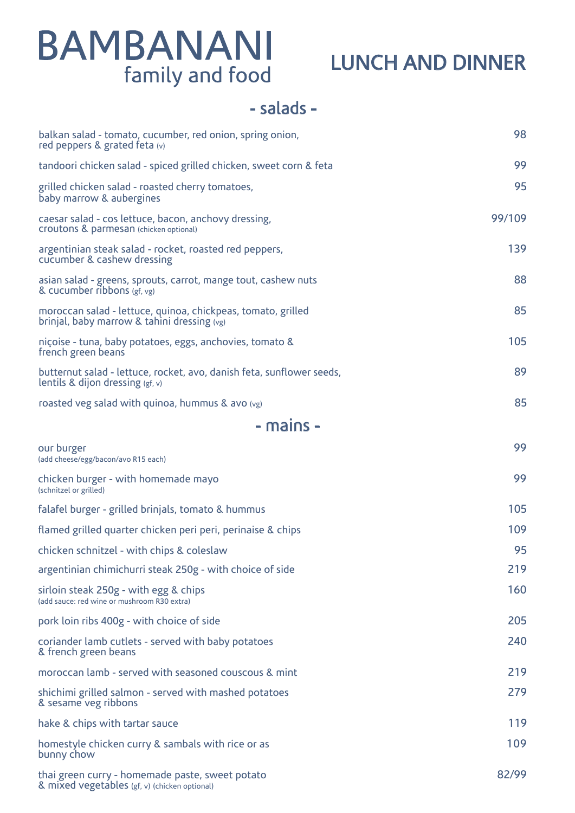### LUNCH AND DINNER

#### - salads -

| balkan salad - tomato, cucumber, red onion, spring onion,<br>red peppers & grated feta (v)                  | 98     |
|-------------------------------------------------------------------------------------------------------------|--------|
| tandoori chicken salad - spiced grilled chicken, sweet corn & feta                                          | 99     |
| grilled chicken salad - roasted cherry tomatoes,<br>baby marrow & aubergines                                | 95     |
| caesar salad - cos lettuce, bacon, anchovy dressing,<br>Croutons & parmesan (chicken optional)              | 99/109 |
| argentinian steak salad - rocket, roasted red peppers,<br>cucumber & cashew dressing                        | 139    |
| asian salad - greens, sprouts, carrot, mange tout, cashew nuts<br>& cucumber ribbons (gf, vg)               | 88     |
| moroccan salad - lettuce, quinoa, chickpeas, tomato, grilled<br>brinjal, baby marrow & tahini dressing (vg) | 85     |
| niçoise - tuna, baby potatoes, eggs, anchovies, tomato &<br>french green beans                              | 105    |
| butternut salad - lettuce, rocket, avo, danish feta, sunflower seeds,<br>lentils & dijon dressing $(gf, v)$ | 89     |
| roasted veg salad with quinoa, hummus & avo (vg)                                                            | 85     |
| - mains -                                                                                                   |        |
| our burger<br>(add cheese/egg/bacon/avo R15 each)                                                           | 99     |
| chicken burger - with homemade mayo<br>(schnitzel or grilled)                                               | 99     |
| falafel burger - grilled brinjals, tomato & hummus                                                          | 105    |
| flamed grilled quarter chicken peri peri, perinaise & chips                                                 | 109    |
| chicken schnitzel - with chips & coleslaw                                                                   | 95     |
| argentinian chimichurri steak 250g - with choice of side                                                    | 219    |
| sirloin steak 250g - with egg & chips<br>(add sauce: red wine or mushroom R30 extra)                        | 160    |
| pork loin ribs 400g - with choice of side                                                                   | 205    |
| coriander lamb cutlets - served with baby potatoes<br>& french green beans                                  | 240    |
| moroccan lamb - served with seasoned couscous & mint                                                        | 219    |
| shichimi grilled salmon - served with mashed potatoes<br>& sesame veg ribbons                               | 279    |
| hake & chips with tartar sauce                                                                              | 119    |
| homestyle chicken curry & sambals with rice or as<br>bunny chow                                             | 109    |
| thai green curry - homemade paste, sweet potato<br>& mixed vegetables (gf, v) (chicken optional)            | 82/99  |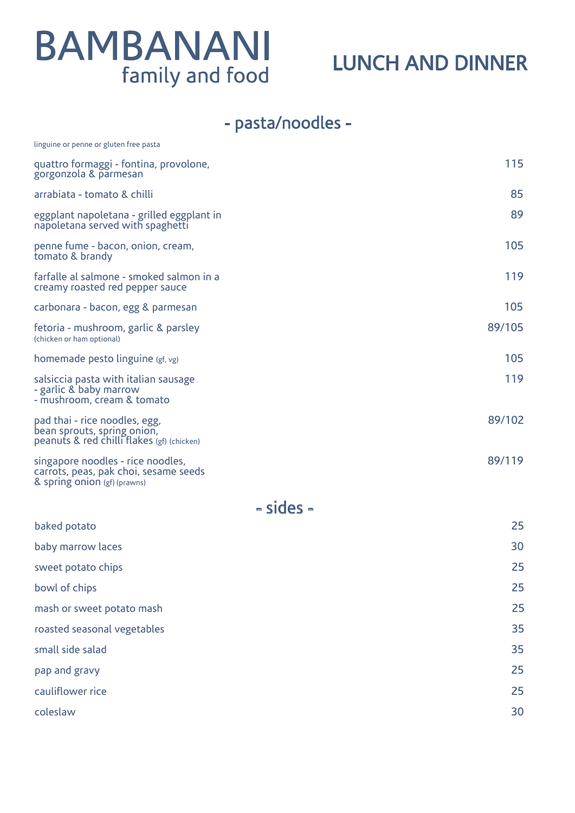### LUNCH AND DINNER

### - pasta/noodles -

| linguine or penne or gluten free pasta                                                                     |        |
|------------------------------------------------------------------------------------------------------------|--------|
| quattro formaggi - fontina, provolone,<br>gorgonzola & parmesan                                            | 115    |
| arrabiata - tomato & chilli                                                                                | 85     |
| eggplant napoletana - grilled eggplant in<br>napoletana served with spaghetti                              | 89     |
| penne fume - bacon, onion, cream,<br>tomato & brandy                                                       | 105    |
| farfalle al salmone - smoked salmon in a<br>creamy roasted red pepper sauce                                | 119    |
| carbonara - bacon, egg & parmesan                                                                          | 105    |
| fetoria - mushroom, garlic & parsley<br>(chicken or ham optional)                                          | 89/105 |
| homemade pesto linguine (gf, vg)                                                                           | 105    |
| salsiccia pasta with italian sausage<br>- garlic & baby marrow<br>- mushroom, cream & tomato               | 119    |
| pad thai - rice noodles, egg,<br>bean sprouts, spring onion,<br>peanuts & red chilli flakes (gf) (chicken) | 89/102 |
| singapore noodles - rice noodles,<br>carrots, peas, pak choi, sesame seeds<br>& spring onion (gf) (prawns) | 89/119 |
| - sides -                                                                                                  |        |
| baked potato                                                                                               | 25     |
| baby marrow laces                                                                                          | 30     |
| sweet potato chips                                                                                         | 25     |
| bowl of chips                                                                                              | 25     |
| mash or sweet potato mash                                                                                  | 25     |
| roasted seasonal vegetables                                                                                | 35     |
| small side salad                                                                                           | 35     |
|                                                                                                            |        |

pap and gravy 25 cauliflower rice 25 coleslaw 30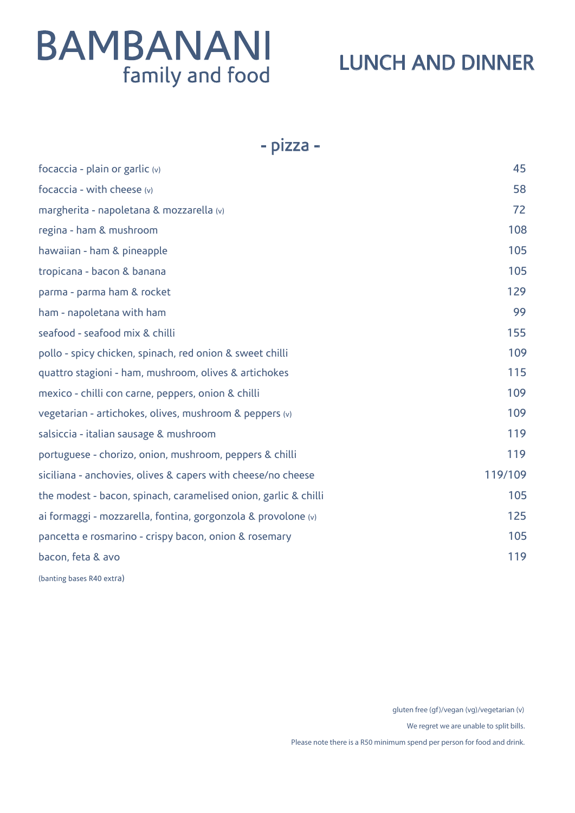### LUNCH AND DINNER

#### - pizza -

| focaccia - plain or garlic (v)                                  | 45      |
|-----------------------------------------------------------------|---------|
| focaccia - with cheese $(v)$                                    | 58      |
| margherita - napoletana & mozzarella (v)                        | 72      |
| regina - ham & mushroom                                         | 108     |
| hawaiian - ham & pineapple                                      | 105     |
| tropicana - bacon & banana                                      | 105     |
| parma - parma ham & rocket                                      | 129     |
| ham - napoletana with ham                                       | 99      |
| seafood - seafood mix & chilli                                  | 155     |
| pollo - spicy chicken, spinach, red onion & sweet chilli        | 109     |
| quattro stagioni - ham, mushroom, olives & artichokes           | 115     |
| mexico - chilli con carne, peppers, onion & chilli              | 109     |
| vegetarian - artichokes, olives, mushroom & peppers (v)         | 109     |
| salsiccia - italian sausage & mushroom                          | 119     |
| portuguese - chorizo, onion, mushroom, peppers & chilli         | 119     |
| siciliana - anchovies, olives & capers with cheese/no cheese    | 119/109 |
| the modest - bacon, spinach, caramelised onion, garlic & chilli | 105     |
| ai formaggi - mozzarella, fontina, gorgonzola & provolone (v)   | 125     |
| pancetta e rosmarino - crispy bacon, onion & rosemary           | 105     |
| bacon, feta & avo                                               | 119     |
| (banting bases R40 extra)                                       |         |

gluten free (gf)/vegan (vg)/vegetarian (v)

We regret we are unable to split bills.

Please note there is a R50 minimum spend per person for food and drink.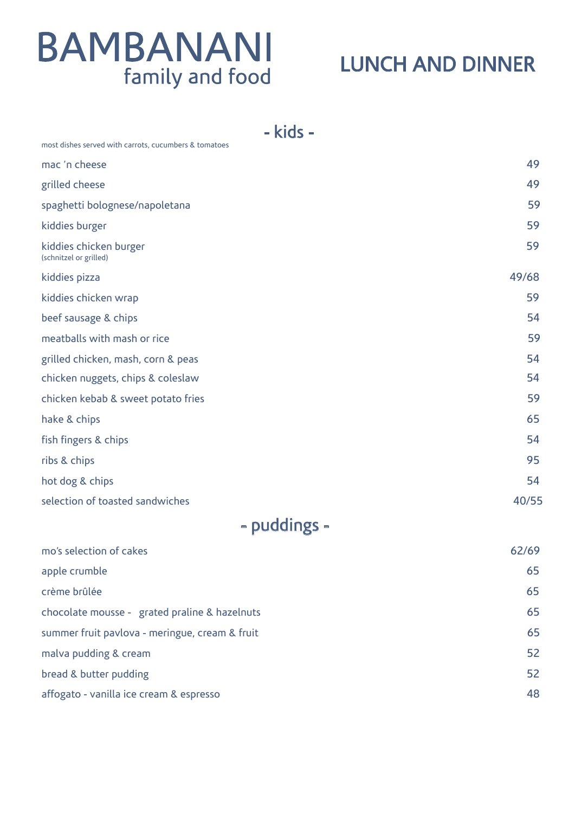### LUNCH AND DINNER

- kids -

| most dishes served with carrots, cucumbers & tomatoes |       |
|-------------------------------------------------------|-------|
| mac 'n cheese                                         | 49    |
| grilled cheese                                        | 49    |
| spaghetti bolognese/napoletana                        | 59    |
| kiddies burger                                        | 59    |
| kiddies chicken burger<br>(schnitzel or grilled)      | 59    |
| kiddies pizza                                         | 49/68 |
| kiddies chicken wrap                                  | 59    |
| beef sausage & chips                                  | 54    |
| meatballs with mash or rice                           | 59    |
| grilled chicken, mash, corn & peas                    | 54    |
| chicken nuggets, chips & coleslaw                     | 54    |
| chicken kebab & sweet potato fries                    | 59    |
| hake & chips                                          | 65    |
| fish fingers & chips                                  | 54    |
| ribs & chips                                          | 95    |
| hot dog & chips                                       | 54    |
| selection of toasted sandwiches                       | 40/55 |
|                                                       |       |

### - puddings -

| mo's selection of cakes                        | 62/69 |
|------------------------------------------------|-------|
| apple crumble                                  | 65    |
| crème brûlée                                   | 65    |
| chocolate mousse - grated praline & hazelnuts  | 65    |
| summer fruit pavlova - meringue, cream & fruit | 65    |
| malva pudding & cream                          | 52    |
| bread & butter pudding                         | 52    |
| affogato - vanilla ice cream & espresso        | 48    |
|                                                |       |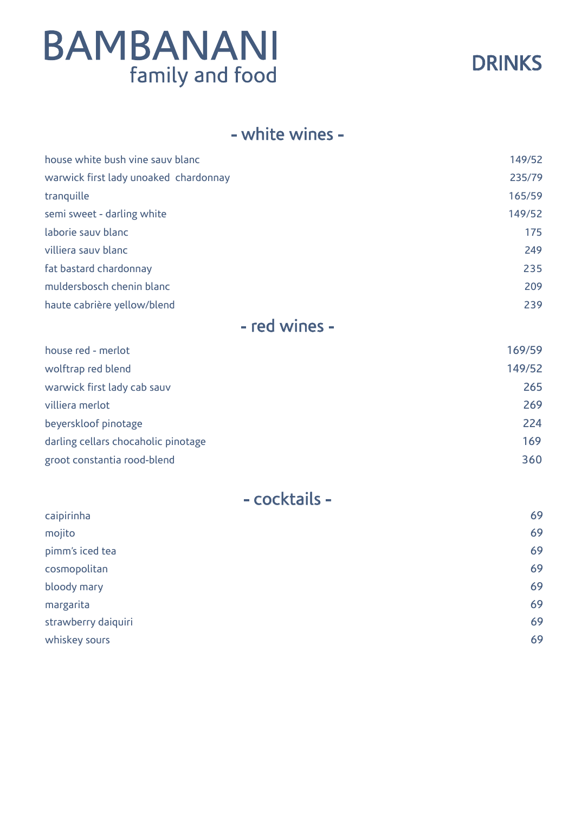

#### - white wines -

| house white bush vine sauv blanc      | 149/52 |
|---------------------------------------|--------|
| warwick first lady unoaked chardonnay | 235/79 |
| tranguille                            | 165/59 |
| semi sweet - darling white            | 149/52 |
| laborie sauv blanc                    | 175    |
| villiera sauv blanc                   | 249    |
| fat bastard chardonnay                | 235    |
| muldersbosch chenin blanc             | 209    |
| haute cabrière yellow/blend           | 239    |
| . .                                   |        |

#### - red wines -

| house red - merlot                  | 169/59 |
|-------------------------------------|--------|
| wolftrap red blend                  | 149/52 |
| warwick first lady cab sauv         | 265    |
| villiera merlot                     | 269    |
| beyerskloof pinotage                | 224    |
| darling cellars chocaholic pinotage | 169    |
| groot constantia rood-blend         | 360    |

|  | - cocktails - |  |  |  |  |  |
|--|---------------|--|--|--|--|--|
|--|---------------|--|--|--|--|--|

| mojito<br>pimm's iced tea<br>cosmopolitan<br>bloody mary<br>margarita<br>strawberry daiquiri | caipirinha    | 69 |
|----------------------------------------------------------------------------------------------|---------------|----|
|                                                                                              |               | 69 |
|                                                                                              |               | 69 |
|                                                                                              |               | 69 |
|                                                                                              |               | 69 |
|                                                                                              |               | 69 |
|                                                                                              |               | 69 |
|                                                                                              | whiskey sours | 69 |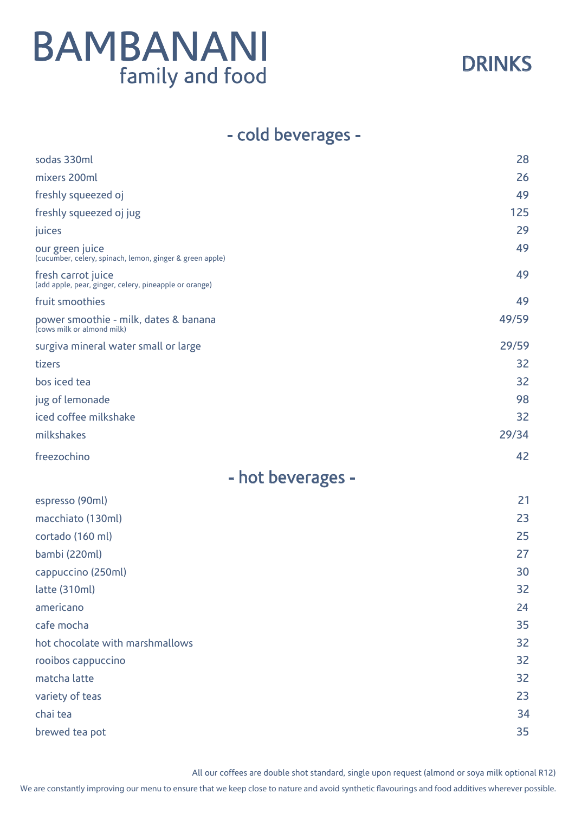

#### - cold beverages -

| sodas 330ml                                                                  | 28    |
|------------------------------------------------------------------------------|-------|
| mixers 200ml                                                                 | 26    |
| freshly squeezed oj                                                          | 49    |
| freshly squeezed oj jug                                                      | 125   |
| juices                                                                       | 29    |
| our green juice<br>(cucumber, celery, spinach, lemon, ginger & green apple)  | 49    |
| fresh carrot juice<br>(add apple, pear, ginger, celery, pineapple or orange) | 49    |
| fruit smoothies                                                              | 49    |
| power smoothie - milk, dates & banana<br>(cows milk or almond milk)          | 49/59 |
| surgiva mineral water small or large                                         | 29/59 |
| tizers                                                                       | 32    |
| bos iced tea                                                                 | 32    |
| jug of lemonade                                                              | 98    |
| iced coffee milkshake                                                        | 32    |
| milkshakes                                                                   | 29/34 |
| freezochino                                                                  | 42    |
| - hot beverages -                                                            |       |
| espresso (90ml)                                                              | 21    |
| macchiato (130ml)                                                            | 23    |
| cortado (160 ml)                                                             | 25    |
| bambi (220ml)                                                                | 27    |
| cappuccino (250ml)                                                           | 30    |
| latte (310ml)                                                                | 32    |
| americano                                                                    | 24    |
| cafe mocha                                                                   | 35    |
| hot chocolate with marshmallows                                              | 32    |
| rooibos cappuccino                                                           | 32    |
| matcha latte                                                                 | 32    |
| variety of teas                                                              | 23    |
| chai tea                                                                     | 34    |
| brewed tea pot                                                               | 35    |

All our coffees are double shot standard, single upon request (almond or soya milk optional R12)

We are constantly improving our menu to ensure that we keep close to nature and avoid synthetic flavourings and food additives wherever possible.